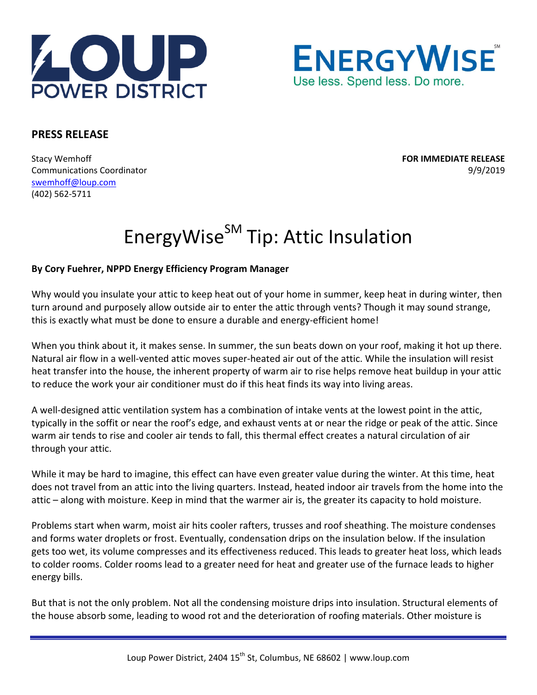



## **PRESS RELEASE**

Stacy Wemhoff **FOR IMMEDIATE RELEASE** Communications Coordinator **Communications** Coordinator  **1999/2019** swemhoff@loup.com (402) 562‐5711

## EnergyWise<sup>SM</sup> Tip: Attic Insulation

## **By Cory Fuehrer, NPPD Energy Efficiency Program Manager**

Why would you insulate your attic to keep heat out of your home in summer, keep heat in during winter, then turn around and purposely allow outside air to enter the attic through vents? Though it may sound strange, this is exactly what must be done to ensure a durable and energy-efficient home!

When you think about it, it makes sense. In summer, the sun beats down on your roof, making it hot up there. Natural air flow in a well‐vented attic moves super‐heated air out of the attic. While the insulation will resist heat transfer into the house, the inherent property of warm air to rise helps remove heat buildup in your attic to reduce the work your air conditioner must do if this heat finds its way into living areas.

A well-designed attic ventilation system has a combination of intake vents at the lowest point in the attic, typically in the soffit or near the roof's edge, and exhaust vents at or near the ridge or peak of the attic. Since warm air tends to rise and cooler air tends to fall, this thermal effect creates a natural circulation of air through your attic.

While it may be hard to imagine, this effect can have even greater value during the winter. At this time, heat does not travel from an attic into the living quarters. Instead, heated indoor air travels from the home into the attic – along with moisture. Keep in mind that the warmer air is, the greater its capacity to hold moisture.

Problems start when warm, moist air hits cooler rafters, trusses and roof sheathing. The moisture condenses and forms water droplets or frost. Eventually, condensation drips on the insulation below. If the insulation gets too wet, its volume compresses and its effectiveness reduced. This leads to greater heat loss, which leads to colder rooms. Colder rooms lead to a greater need for heat and greater use of the furnace leads to higher energy bills.

But that is not the only problem. Not all the condensing moisture drips into insulation. Structural elements of the house absorb some, leading to wood rot and the deterioration of roofing materials. Other moisture is